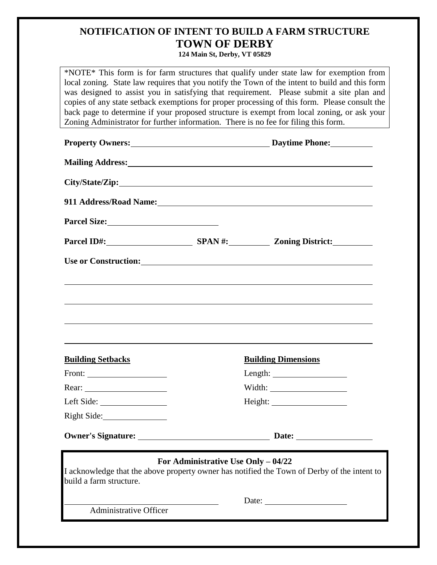## **NOTIFICATION OF INTENT TO BUILD A FARM STRUCTURE TOWN OF DERBY**

**124 Main St, Derby, VT 05829**

\*NOTE\* This form is for farm structures that qualify under state law for exemption from local zoning. State law requires that you notify the Town of the intent to build and this form was designed to assist you in satisfying that requirement. Please submit a site plan and copies of any state setback exemptions for proper processing of this form. Please consult the back page to determine if your proposed structure is exempt from local zoning, or ask your Zoning Administrator for further information. There is no fee for filing this form.

|                               | Property Owners: Daytime Phone:                                                                                                                                                                                                                                                                                                                                                                                                                   |
|-------------------------------|---------------------------------------------------------------------------------------------------------------------------------------------------------------------------------------------------------------------------------------------------------------------------------------------------------------------------------------------------------------------------------------------------------------------------------------------------|
|                               | <b>Mailing Address:</b> Mailing Address:                                                                                                                                                                                                                                                                                                                                                                                                          |
|                               |                                                                                                                                                                                                                                                                                                                                                                                                                                                   |
|                               | 911 Address/Road Name: 1988 and 2008 and 2008 and 2008 and 2008 and 2008 and 2008 and 2008 and 2008 and 2008 and 2008 and 2008 and 2008 and 2008 and 2008 and 2008 and 2008 and 2008 and 2008 and 2008 and 2008 and 2008 and 2                                                                                                                                                                                                                    |
|                               |                                                                                                                                                                                                                                                                                                                                                                                                                                                   |
|                               | Parcel ID#: SPAN #: Zoning District:                                                                                                                                                                                                                                                                                                                                                                                                              |
|                               | Use or Construction: New York Construction of the Construction of the Construction of the Construction of the Construction of the Construction of the Construction of the Construction of the Construction of the Construction                                                                                                                                                                                                                    |
|                               | ,我们也不会有什么。""我们的人,我们也不会有什么?""我们的人,我们也不会有什么?""我们的人,我们也不会有什么?""我们的人,我们也不会有什么?""我们的人                                                                                                                                                                                                                                                                                                                                                                  |
|                               |                                                                                                                                                                                                                                                                                                                                                                                                                                                   |
|                               |                                                                                                                                                                                                                                                                                                                                                                                                                                                   |
| <b>Building Setbacks</b>      | <b>Building Dimensions</b>                                                                                                                                                                                                                                                                                                                                                                                                                        |
| Front: $\qquad \qquad$        |                                                                                                                                                                                                                                                                                                                                                                                                                                                   |
|                               |                                                                                                                                                                                                                                                                                                                                                                                                                                                   |
|                               |                                                                                                                                                                                                                                                                                                                                                                                                                                                   |
| Right Side:                   |                                                                                                                                                                                                                                                                                                                                                                                                                                                   |
|                               |                                                                                                                                                                                                                                                                                                                                                                                                                                                   |
| build a farm structure.       | For Administrative Use Only - 04/22<br>I acknowledge that the above property owner has notified the Town of Derby of the intent to                                                                                                                                                                                                                                                                                                                |
| <b>Administrative Officer</b> | Date: $\frac{1}{\sqrt{1-\frac{1}{2}} \cdot \frac{1}{2} \cdot \frac{1}{2} \cdot \frac{1}{2} \cdot \frac{1}{2} \cdot \frac{1}{2} \cdot \frac{1}{2} \cdot \frac{1}{2} \cdot \frac{1}{2} \cdot \frac{1}{2} \cdot \frac{1}{2} \cdot \frac{1}{2} \cdot \frac{1}{2} \cdot \frac{1}{2} \cdot \frac{1}{2} \cdot \frac{1}{2} \cdot \frac{1}{2} \cdot \frac{1}{2} \cdot \frac{1}{2} \cdot \frac{1}{2} \cdot \frac{1}{2} \cdot \frac{1}{2} \cdot \frac{1}{2}$ |
|                               |                                                                                                                                                                                                                                                                                                                                                                                                                                                   |